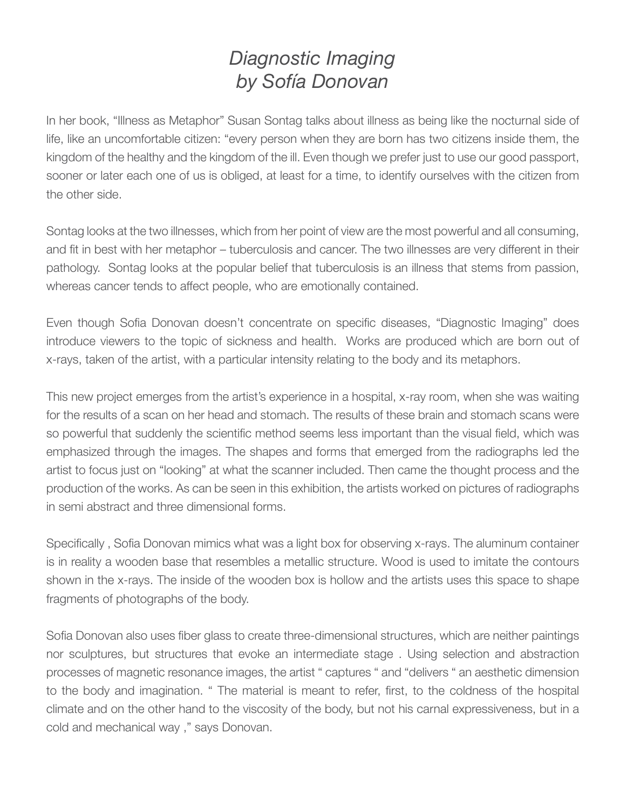## *Diagnostic Imaging by Sofía Donovan*

In her book, "Illness as Metaphor" Susan Sontag talks about illness as being like the nocturnal side of life, like an uncomfortable citizen: "every person when they are born has two citizens inside them, the kingdom of the healthy and the kingdom of the ill. Even though we prefer just to use our good passport, sooner or later each one of us is obliged, at least for a time, to identify ourselves with the citizen from the other side.

Sontag looks at the two illnesses, which from her point of view are the most powerful and all consuming, and fit in best with her metaphor – tuberculosis and cancer. The two illnesses are very different in their pathology. Sontag looks at the popular belief that tuberculosis is an illness that stems from passion, whereas cancer tends to affect people, who are emotionally contained.

Even though Sofia Donovan doesn't concentrate on specific diseases, "Diagnostic Imaging" does introduce viewers to the topic of sickness and health. Works are produced which are born out of x-rays, taken of the artist, with a particular intensity relating to the body and its metaphors.

This new project emerges from the artist's experience in a hospital, x-ray room, when she was waiting for the results of a scan on her head and stomach. The results of these brain and stomach scans were so powerful that suddenly the scientific method seems less important than the visual field, which was emphasized through the images. The shapes and forms that emerged from the radiographs led the artist to focus just on "looking" at what the scanner included. Then came the thought process and the production of the works. As can be seen in this exhibition, the artists worked on pictures of radiographs in semi abstract and three dimensional forms.

Specifically , Sofia Donovan mimics what was a light box for observing x-rays. The aluminum container is in reality a wooden base that resembles a metallic structure. Wood is used to imitate the contours shown in the x-rays. The inside of the wooden box is hollow and the artists uses this space to shape fragments of photographs of the body.

Sofia Donovan also uses fiber glass to create three-dimensional structures, which are neither paintings nor sculptures, but structures that evoke an intermediate stage . Using selection and abstraction processes of magnetic resonance images, the artist " captures " and "delivers " an aesthetic dimension to the body and imagination. " The material is meant to refer, first, to the coldness of the hospital climate and on the other hand to the viscosity of the body, but not his carnal expressiveness, but in a cold and mechanical way ," says Donovan.